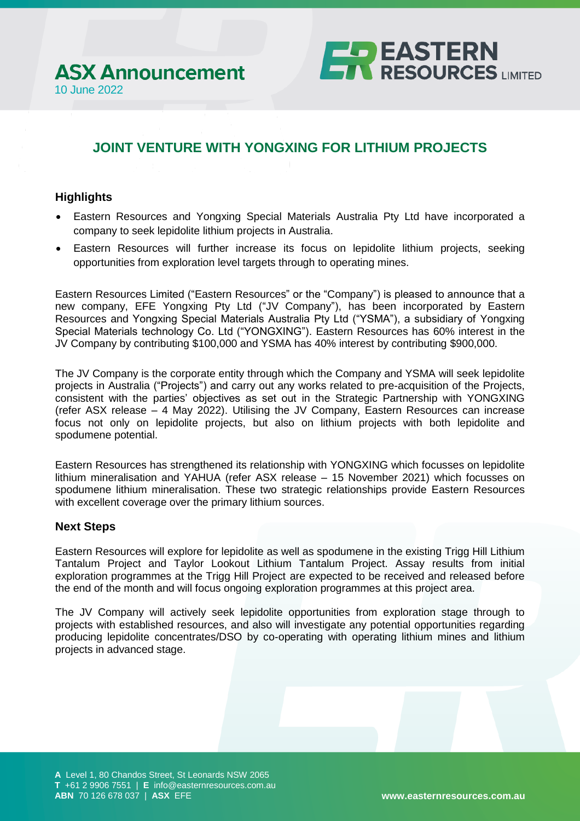

# **JOINT VENTURE WITH YONGXING FOR LITHIUM PROJECTS**

### **Highlights**

- Eastern Resources and Yongxing Special Materials Australia Pty Ltd have incorporated a company to seek lepidolite lithium projects in Australia.
- Eastern Resources will further increase its focus on lepidolite lithium projects, seeking opportunities from exploration level targets through to operating mines.

Eastern Resources Limited ("Eastern Resources" or the "Company") is pleased to announce that a new company, EFE Yongxing Pty Ltd ("JV Company"), has been incorporated by Eastern Resources and Yongxing Special Materials Australia Pty Ltd ("YSMA"), a subsidiary of Yongxing Special Materials technology Co. Ltd ("YONGXING"). Eastern Resources has 60% interest in the JV Company by contributing \$100,000 and YSMA has 40% interest by contributing \$900,000.

The JV Company is the corporate entity through which the Company and YSMA will seek lepidolite projects in Australia ("Projects") and carry out any works related to pre-acquisition of the Projects, consistent with the parties' objectives as set out in the Strategic Partnership with YONGXING (refer ASX release – 4 May 2022). Utilising the JV Company, Eastern Resources can increase focus not only on lepidolite projects, but also on lithium projects with both lepidolite and spodumene potential.

Eastern Resources has strengthened its relationship with YONGXING which focusses on lepidolite lithium mineralisation and YAHUA (refer ASX release – 15 November 2021) which focusses on spodumene lithium mineralisation. These two strategic relationships provide Eastern Resources with excellent coverage over the primary lithium sources.

### **Next Steps**

Eastern Resources will explore for lepidolite as well as spodumene in the existing Trigg Hill Lithium Tantalum Project and Taylor Lookout Lithium Tantalum Project. Assay results from initial exploration programmes at the Trigg Hill Project are expected to be received and released before the end of the month and will focus ongoing exploration programmes at this project area.

The JV Company will actively seek lepidolite opportunities from exploration stage through to projects with established resources, and also will investigate any potential opportunities regarding producing lepidolite concentrates/DSO by co-operating with operating lithium mines and lithium projects in advanced stage.